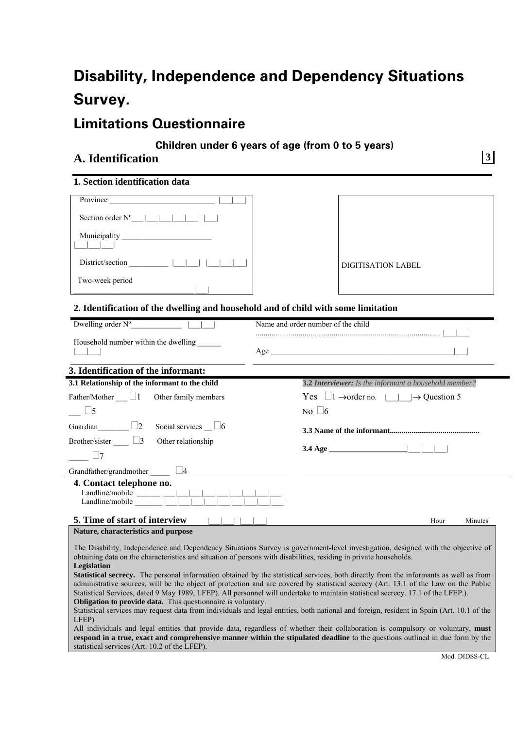# **Disability, Independence and Dependency Situations Survey.**

# **Limitations Questionnaire**

## **Children under 6 years of age (from 0 to 5 years)**

# **A. Identification 3**

### **1. Section identification data**

| Province                  |  |
|---------------------------|--|
| Section order $N^{\circ}$ |  |
| Municipality              |  |
| District/section          |  |
| Two-week period           |  |

| <b>DIGITISATION LABEL</b> |
|---------------------------|

## **2. Identification of the dwelling and household and of child with some limitation**

| Dwelling order $N^{\circ}$<br>Name and order number of the child                                                                                                                                                                                                                                                                                                                                                                                                                                                                                                                                                                                                                        |                                                                           |  |
|-----------------------------------------------------------------------------------------------------------------------------------------------------------------------------------------------------------------------------------------------------------------------------------------------------------------------------------------------------------------------------------------------------------------------------------------------------------------------------------------------------------------------------------------------------------------------------------------------------------------------------------------------------------------------------------------|---------------------------------------------------------------------------|--|
| Household number within the dwelling                                                                                                                                                                                                                                                                                                                                                                                                                                                                                                                                                                                                                                                    |                                                                           |  |
| 3. Identification of the informant:                                                                                                                                                                                                                                                                                                                                                                                                                                                                                                                                                                                                                                                     |                                                                           |  |
| 3.1 Relationship of the informant to the child                                                                                                                                                                                                                                                                                                                                                                                                                                                                                                                                                                                                                                          | 3.2 Interviewer: Is the informant a household member?                     |  |
| Father/Mother $\Box$ 1 Other family members                                                                                                                                                                                                                                                                                                                                                                                                                                                                                                                                                                                                                                             | Yes $\Box$ 1 $\rightarrow$ order no. $\parallel$ $\rightarrow$ Question 5 |  |
| $\vert$ 5                                                                                                                                                                                                                                                                                                                                                                                                                                                                                                                                                                                                                                                                               | No $\Box$ 6                                                               |  |
| Guardian $\Box$ 2<br>Social services $\_\_\_\$ 6<br>Brother/sister $\Box$ 3<br>Other relationship<br>$\Box$                                                                                                                                                                                                                                                                                                                                                                                                                                                                                                                                                                             | $3.4 \text{ Age}$                                                         |  |
| Grandfather/grandmother $\Box$ $\Box$ 4                                                                                                                                                                                                                                                                                                                                                                                                                                                                                                                                                                                                                                                 |                                                                           |  |
| 4. Contact telephone no.                                                                                                                                                                                                                                                                                                                                                                                                                                                                                                                                                                                                                                                                |                                                                           |  |
| 5. Time of start of interview                                                                                                                                                                                                                                                                                                                                                                                                                                                                                                                                                                                                                                                           | Hour<br>Minutes                                                           |  |
| Nature, characteristics and purpose                                                                                                                                                                                                                                                                                                                                                                                                                                                                                                                                                                                                                                                     |                                                                           |  |
| The Disability, Independence and Dependency Situations Survey is government-level investigation, designed with the objective of<br>obtaining data on the characteristics and situation of persons with disabilities, residing in private households.<br>Legislation<br>Statistical secrecy. The personal information obtained by the statistical services, both directly from the informants as well as from<br>administrative sources, will be the object of protection and are covered by statistical secrecy (Art. 13.1 of the Law on the Public<br>Statistical Services, dated 9 May 1989, LFEP). All personnel will undertake to maintain statistical secrecy. 17.1 of the LFEP.). |                                                                           |  |

**Obligation to provide data.** This questionnaire is voluntary.

Statistical services may request data from individuals and legal entities, both national and foreign, resident in Spain (Art. 10.1 of the LFEP)

All individuals and legal entities that provide data**,** regardless of whether their collaboration is compulsory or voluntary, **must respond in a true, exact and comprehensive manner within the stipulated deadline** to the questions outlined in due form by the statistical services (Art. 10.2 of the LFEP).

Mod. DIDSS-CL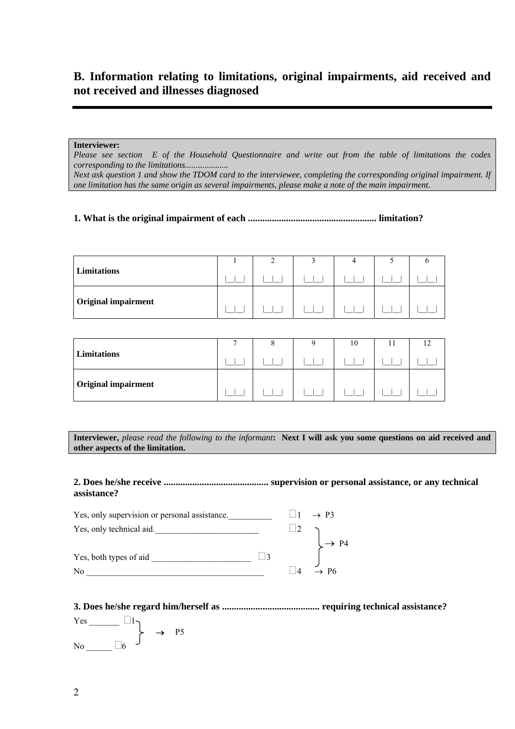# **B. Information relating to limitations, original impairments, aid received and not received and illnesses diagnosed**

#### **Interviewer:**

*Please see section E of the Household Questionnaire and write out from the table of limitations the codes corresponding to the limitations....................* 

*Next ask question 1 and show the TDOM card to the interviewee, completing the corresponding original impairment. If one limitation has the same origin as several impairments, please make a note of the main impairment.* 

## **1. What is the original impairment of each ...................................................... limitation?**

|                            | - |  |  |
|----------------------------|---|--|--|
| Limitations                |   |  |  |
| <b>Original impairment</b> |   |  |  |

|                            |  | 10 |  |
|----------------------------|--|----|--|
| Limitations                |  |    |  |
| <b>Original impairment</b> |  |    |  |

**Interviewer,** *please read the following to the informant***: Next I will ask you some questions on aid received and other aspects of the limitation.**

#### **2. Does he/she receive ............................................ supervision or personal assistance, or any technical assistance?**

| Yes, only supervision or personal assistance. |  | $1 \rightarrow P3$ |
|-----------------------------------------------|--|--------------------|
| Yes, only technical aid.                      |  |                    |
|                                               |  | P4                 |
| Yes, both types of aid                        |  |                    |
| N <sub>0</sub>                                |  | $\rightarrow$ P6   |

**3. Does he/she regard him/herself as ......................................... requiring technical assistance?**

 $Yes$  1  $\rightarrow$  P<sub>5</sub> No  $\Box$ 6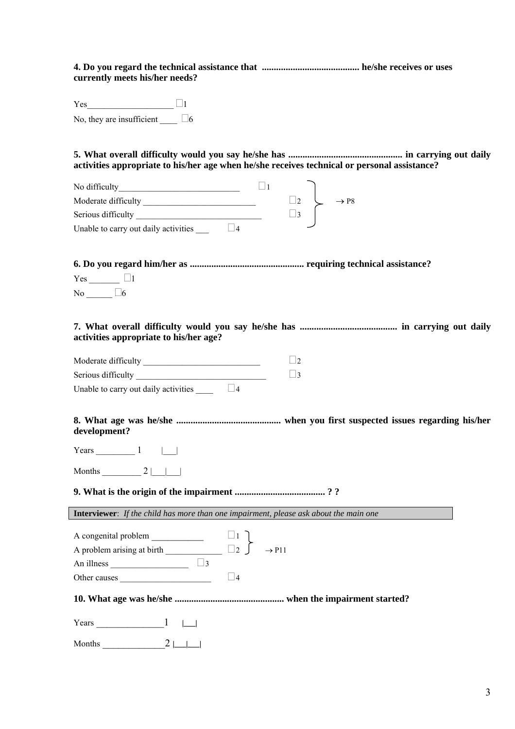**4. Do you regard the technical assistance that ......................................... he/she receives or uses currently meets his/her needs?**

Yes  $\Box$ No, they are insufficient  $\Box$ 6

**5. What overall difficulty would you say he/she has ................................................ in carrying out daily activities appropriate to his/her age when he/she receives technical or personal assistance?** 

| No difficulty                        |  |                              |  |
|--------------------------------------|--|------------------------------|--|
| Moderate difficulty                  |  | $\rightarrow$ P <sub>8</sub> |  |
| Serious difficulty                   |  |                              |  |
| Unable to carry out daily activities |  |                              |  |

**6. Do you regard him/her as ................................................ requiring technical assistance?** 

 $Yes \_$ No  $\Box$ 6

**7. What overall difficulty would you say he/she has ......................................... in carrying out daily activities appropriate to his/her age?** 

| Moderate difficulty |  |
|---------------------|--|
| Serious difficulty  |  |

Unable to carry out daily activities  $\Box$  4

**8. What age was he/she ............................................ when you first suspected issues regarding his/her development?** 

Years  $1 \mid$ 

Months  $2 | \cdot |$ 

## **9. What is the origin of the impairment ...................................... ? ?**

**Interviewer**: *If the child has more than one impairment, please ask about the main one*

| A congenital problem       |                 |                   |
|----------------------------|-----------------|-------------------|
| A problem arising at birth | $\vert \ \vert$ | $\rightarrow$ P11 |
| An illness                 |                 |                   |
| Other causes               |                 |                   |

**10. What age was he/she .............................................. when the impairment started?** 

Years \_\_\_\_\_\_\_\_\_\_\_\_\_1 **|\_\_\_|** 

Months \_\_\_\_\_\_\_\_\_\_\_\_2 **|\_\_\_|\_\_\_|**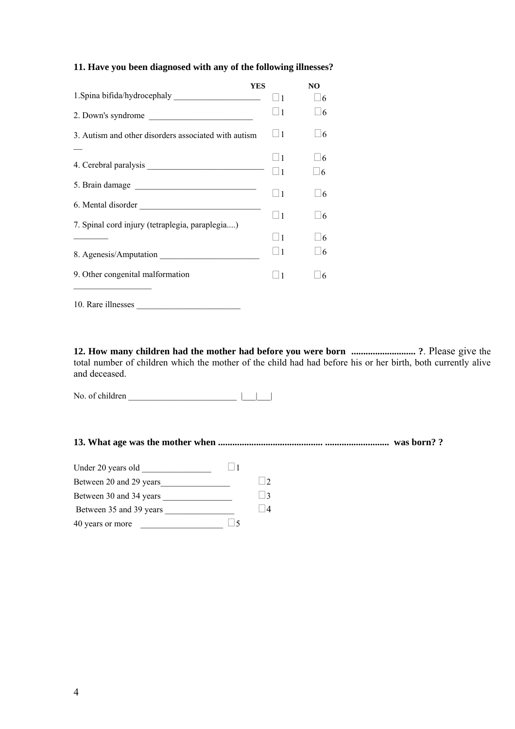## **11. Have you been diagnosed with any of the following illnesses?**

|                                                      | <b>YES</b>     | N <sub>O</sub> |
|------------------------------------------------------|----------------|----------------|
|                                                      | $\vert$ 1      | $\vert$ 16     |
| 2. Down's syndrome                                   | $\Box$         | 6              |
| 3. Autism and other disorders associated with autism | $\vert$ 1      | 16             |
|                                                      | $\Box$         | $\sqrt{6}$     |
|                                                      |                |                |
|                                                      | $\vert$ 1      | 6              |
| 5. Brain damage                                      |                |                |
|                                                      | $\overline{1}$ | 6              |
|                                                      |                |                |
|                                                      | $\vert$ 1      | 6              |
| 7. Spinal cord injury (tetraplegia, paraplegia)      |                |                |
|                                                      | $\Box$ 1       | 6              |
|                                                      | $\overline{1}$ | 6              |
|                                                      |                |                |
| 9. Other congenital malformation                     | $\vert$ 1      | 6              |
|                                                      |                |                |
| 10. Rare illnesses                                   |                |                |

**12. How many children had the mother had before you were born ........................... ?**. Please give the total number of children which the mother of the child had had before his or her birth, both currently alive and deceased.

No. of children \_\_\_\_\_\_\_\_\_\_\_\_\_\_\_\_\_\_\_\_\_\_\_\_\_ |\_\_\_|\_\_\_|

**13. What age was the mother when ............................................ ........................... was born? ?** 

| Under 20 years old      |           |
|-------------------------|-----------|
| Between 20 and 29 years |           |
| Between 30 and 34 years | $\vert$ 2 |
| Between 35 and 39 years |           |
| 40 years or more        |           |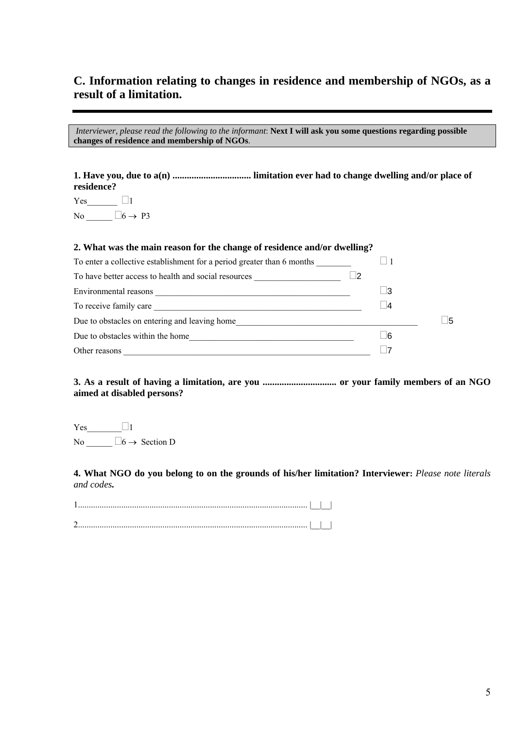# **C. Information relating to changes in residence and membership of NGOs, as a result of a limitation.**

|                                              | Interviewer, please read the following to the informant: Next I will ask you some questions regarding possible |
|----------------------------------------------|----------------------------------------------------------------------------------------------------------------|
| changes of residence and membership of NGOs. |                                                                                                                |

**1. Have you, due to a(n) ................................. limitation ever had to change dwelling and/or place of residence?** 

 $Yes$  1 No  $\_\_$  6  $\rightarrow$  P3

#### **2. What was the main reason for the change of residence and/or dwelling?**

| To enter a collective establishment for a period greater than 6 months                                                                                                                                                        |  |           |      |
|-------------------------------------------------------------------------------------------------------------------------------------------------------------------------------------------------------------------------------|--|-----------|------|
| To have better access to health and social resources                                                                                                                                                                          |  |           |      |
| Environmental reasons                                                                                                                                                                                                         |  | - 13      |      |
| To receive family care and the state of the state of the state of the state of the state of the state of the state of the state of the state of the state of the state of the state of the state of the state of the state of |  | $\vert$ 4 |      |
| Due to obstacles on entering and leaving home                                                                                                                                                                                 |  |           | - 15 |
| Due to obstacles within the home                                                                                                                                                                                              |  | - 16      |      |
| Other reasons                                                                                                                                                                                                                 |  |           |      |

**3. As a result of having a limitation, are you ............................... or your family members of an NGO aimed at disabled persons?** 

 $Yes$  1 No  $\_\_$  6  $\rightarrow$  Section D

**4. What NGO do you belong to on the grounds of his/her limitation? Interviewer:** *Please note literals and codes.*

| ∽<br>. |  |  |
|--------|--|--|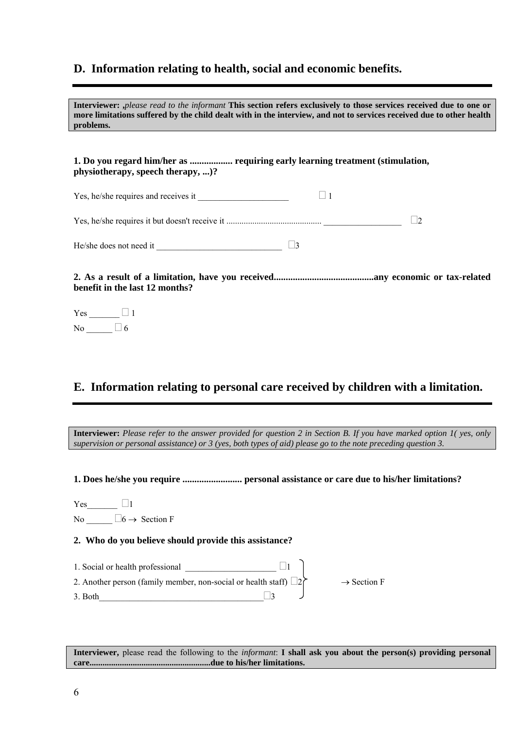## **D. Information relating to health, social and economic benefits.**

**Interviewer: ,***please read to the informant* **This section refers exclusively to those services received due to one or more limitations suffered by the child dealt with in the interview, and not to services received due to other health problems.** 

**1. Do you regard him/her as .................. requiring early learning treatment (stimulation, physiotherapy, speech therapy, ...)?** 

| Yes, he/she requires and receives it |  |
|--------------------------------------|--|
|                                      |  |
|                                      |  |

He/she does not need it  $\Box$ 

**2. As a result of a limitation, have you received..........................................any economic or tax-related benefit in the last 12 months?** 

 $Yes$  1 No  $\qquad \qquad \Box$  6

# **E. Information relating to personal care received by children with a limitation.**

**Interviewer:** *Please refer to the answer provided for question 2 in Section B. If you have marked option 1( yes, only supervision or personal assistance) or 3 (yes, both types of aid) please go to the note preceding question 3.* 

**1. Does he/she you require ......................... personal assistance or care due to his/her limitations?** 

 $Yes$  1 No  $\square 6 \rightarrow$  Section F

## **2. Who do you believe should provide this assistance?**

1. Social or health professional  $\Box$ 2. Another person (family member, non-social or health staff)  $\Box$ 2  $\rightarrow$  Section F  $3.$  Both

**Interviewer,** please read the following to the *informant*: **I shall ask you about the person(s) providing personal care........................................................due to his/her limitations.**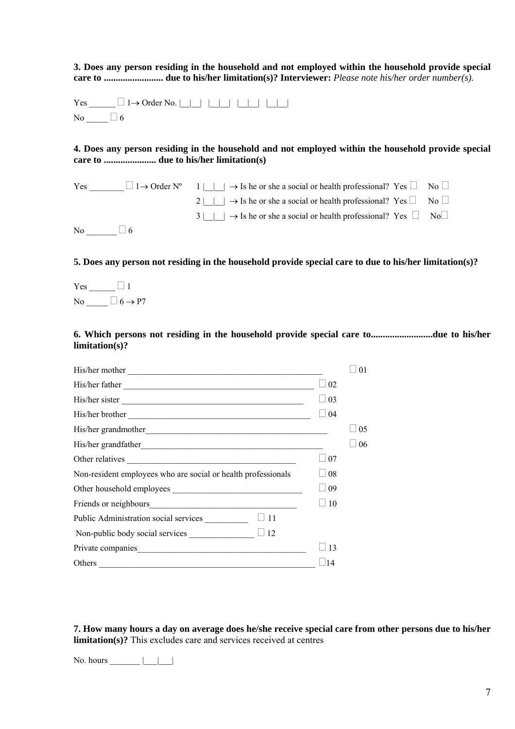**3. Does any person residing in the household and not employed within the household provide special care to ......................... due to his/her limitation(s)? Interviewer:** *Please note his/her order number(s).*

 $Yes \_$ No  $\Box$  6

**4. Does any person residing in the household and not employed within the household provide special care to ...................... due to his/her limitation(s)**

| Yes |           | $\Box$ 1 $\rightarrow$ Order N° $\Box$ 1 $\Box$ $\rightarrow$ Is he or she a social or health professional? Yes $\Box$ No $\Box$ |  |
|-----|-----------|----------------------------------------------------------------------------------------------------------------------------------|--|
|     |           | 2       $\rightarrow$ Is he or she a social or health professional? Yes $\Box$ No $\Box$                                         |  |
|     |           | $3 \mid \cdot \cdot \cdot \cdot$ Is he or she a social or health professional? Yes $\Box$ No $\Box$                              |  |
| No  | $\vert$ 6 |                                                                                                                                  |  |

**5. Does any person not residing in the household provide special care to due to his/her limitation(s)?** 

Yes \_\_\_\_\_\_\_  $\Box$  1 No  $\Box$  6  $\rightarrow$  P7

**6. Which persons not residing in the household provide special care to..........................due to his/her limitation(s)?** 

| His/her mother                                                                                                                   |            | 0 <sub>1</sub> |
|----------------------------------------------------------------------------------------------------------------------------------|------------|----------------|
| His/her father                                                                                                                   | 02         |                |
| His/her sister                                                                                                                   | 03         |                |
|                                                                                                                                  | 04         |                |
|                                                                                                                                  |            | 05             |
|                                                                                                                                  |            | 06             |
| Other relatives                                                                                                                  | 07         |                |
| Non-resident employees who are social or health professionals                                                                    | $\pm 08$   |                |
|                                                                                                                                  | $\pm 09$   |                |
|                                                                                                                                  | $\vert$ 10 |                |
|                                                                                                                                  |            |                |
| Non-public body social services $\qquad \qquad \Box$ 12                                                                          |            |                |
| Private companies                                                                                                                | 13         |                |
| Others<br><u> 1989 - Johann John Stoff, deutscher Stoffen und der Stoffen und der Stoffen und der Stoffen und der Stoffen un</u> | 14         |                |

**7. How many hours a day on average does he/she receive special care from other persons due to his/her limitation(s)?** This excludes care and services received at centres

No. hours \_\_\_\_\_\_\_\_ |\_\_\_\_|\_\_\_\_|